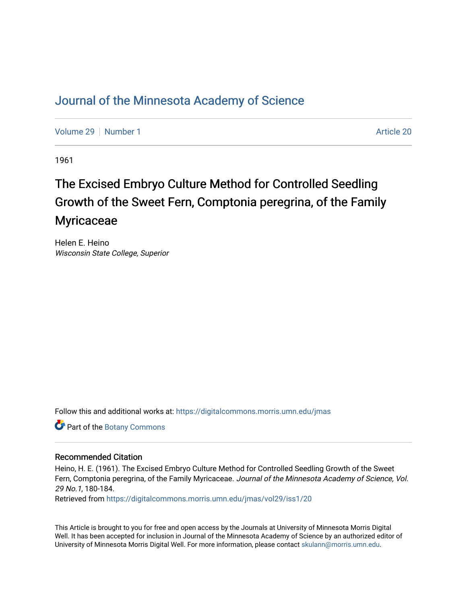# [Journal of the Minnesota Academy of Science](https://digitalcommons.morris.umn.edu/jmas)

[Volume 29](https://digitalcommons.morris.umn.edu/jmas/vol29) [Number 1](https://digitalcommons.morris.umn.edu/jmas/vol29/iss1) [Article 20](https://digitalcommons.morris.umn.edu/jmas/vol29/iss1/20) Article 20

1961

# The Excised Embryo Culture Method for Controlled Seedling Growth of the Sweet Fern, Comptonia peregrina, of the Family **Myricaceae**

Helen E. Heino Wisconsin State College, Superior

Follow this and additional works at: [https://digitalcommons.morris.umn.edu/jmas](https://digitalcommons.morris.umn.edu/jmas?utm_source=digitalcommons.morris.umn.edu%2Fjmas%2Fvol29%2Fiss1%2F20&utm_medium=PDF&utm_campaign=PDFCoverPages) 

Part of the [Botany Commons](https://network.bepress.com/hgg/discipline/104?utm_source=digitalcommons.morris.umn.edu%2Fjmas%2Fvol29%2Fiss1%2F20&utm_medium=PDF&utm_campaign=PDFCoverPages) 

### Recommended Citation

Heino, H. E. (1961). The Excised Embryo Culture Method for Controlled Seedling Growth of the Sweet Fern, Comptonia peregrina, of the Family Myricaceae. Journal of the Minnesota Academy of Science, Vol. 29 No.1, 180-184.

Retrieved from [https://digitalcommons.morris.umn.edu/jmas/vol29/iss1/20](https://digitalcommons.morris.umn.edu/jmas/vol29/iss1/20?utm_source=digitalcommons.morris.umn.edu%2Fjmas%2Fvol29%2Fiss1%2F20&utm_medium=PDF&utm_campaign=PDFCoverPages) 

This Article is brought to you for free and open access by the Journals at University of Minnesota Morris Digital Well. It has been accepted for inclusion in Journal of the Minnesota Academy of Science by an authorized editor of University of Minnesota Morris Digital Well. For more information, please contact [skulann@morris.umn.edu](mailto:skulann@morris.umn.edu).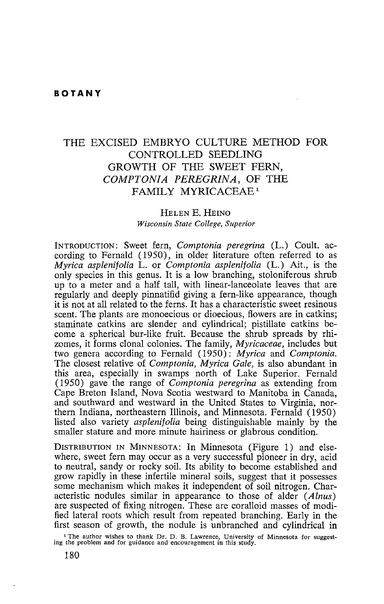## THE EXCISED EMBRYO CULTURE METHOD FOR CONTROLLED SEEDLING GROWTH OF THE SWEET FERN, *COMPTON/A PEREGRINA,* OF THE FAMILY MYRICACEAE<sup>1</sup>

#### HELEN E. HEINO *Wisconsin State College, Superior*

INTRODUCTION: Sweet fern, *Comptonia peregrina* (L.) Coult. according to Fernald (1950), in older literature often referred to as *Myrica asplenifolia* L. or *Comptonia asplenifolia* (L.) Ait., is the only species in this genus. It is a low branching, stoloniferous shrub up to a meter and a half tall, with linear-lanceolate leaves that are regularly and deeply pinnatifid giving a fern-like appearance, though it is not at all related to the ferns. It has a characteristic sweet resinous scent. The plants are monoecious or dioecious, flowers are in catkins; staminate catkins are slender and cylindrical; pistillate catkins become a spherical bur-like fruit. Because the shrub spreads by rhizomes, it forms clonal colonies. The family, *Myricaceae,* includes but two genera according to Fernald (1950): *Myrica* and *Comptonia.*  The closest relative of *Comptonia, Myrica Gale,* is also abundant in this area, especially in swamps north of Lake Superior. Fernald ( 1950) gave the range of *Comptonia peregrina* as extending from Cape Breton Island, Nova Scotia westward to Manitoba in Canada, and southward and westward in the United States to Virginia, northern Indiana, northeastern Illinois, and Minnesota. Fernald (1950) listed also variety *asplenifolia* being distinguishable mainly by the smaller stature and more minute hairiness or glabrous condition.

DISTRIBUTION IN MINNESOTA: In Minnesota (Figure 1) and elsewhere, sweet fern may occur as a very successful pioneer in dry, acid to neutral, sandy or rocky soil. Its ability to become established and grow rapidly in these infertile mineral soils, suggest that it possesses some mechanism which makes it independent of soil nitrogen. Characteristic nodules similar in appearance to those of alder *(Alnus)*  are suspected of fixing nitrogen. These are coralloid masses of modified lateral roots which result from repeated branching. Early in the

first season of growth, the nodule is unbranched and cylindrical in <sup>1</sup> The author wishes to thank Dr. D. B. Lawrence, University of Minnesota for suggesting the problem and for guidance and encouragement in this study.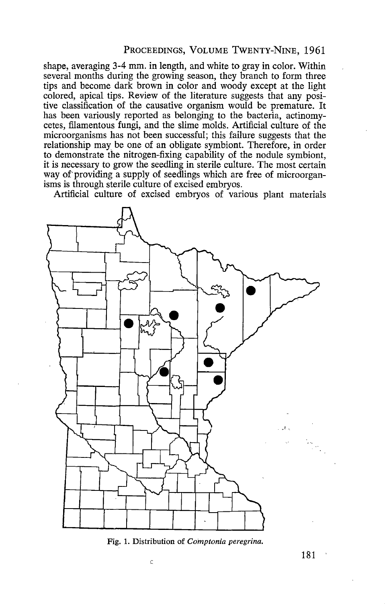#### PROCEEDINGS, VOLUME TwENTY-NINE, 1961

shape, averaging 3-4 mm. in length, and white to gray in color. Within several months during the growing season, they branch to form three tips and become dark brown in color and woody except at the light colored, apical tips. Review of the literature suggests that any positive classification of the causative organism would be premature. It has been variously reported as belonging to the bacteria, actinomycetes, filamentous fungi, and the slime molds. Artificial culture of the microorganisms has not been successful; this failure suggests that the relationship may be one of an obligate symbiont. Therefore, in order to demonstrate the nitrogen-fixing capability of the nodule symbiont, it is necessary to grow the seedling in sterile culture. The most certain way of providing a supply of seedlings which are free of microorganisms is through sterile culture of excised embryos.

Artificial culture of excised embryos of various plant materials



Fig. 1. Distribution of *Comptonia peregrina*.

181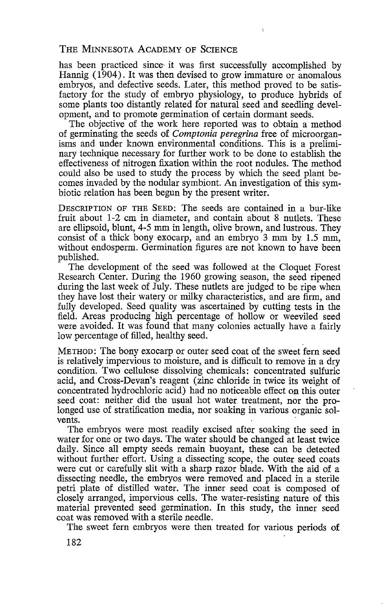#### THE MINNESOTA ACADEMY OF SCIENCE

has been practiced since it was first successfully accomplished by Hannig ( 1904). It was then devised to grow immature or anomalous embryos, and defective seeds. Later, this method proved to be satisfactory for the study of embryo physiology, to produce hybrids of some plants too distantly related for natural seed and seedling development, and to promote germination of certain dormant seeds.

The objective of the work here reported was to obtain a method of germinating the seeds of Comptonia peregrina free of microorganisms and under known environmental conditions. This is a preliminary technique necessary for further work to be done to establish the effectiveness of nitrogen fixation within the root nodules. The method could also be used to study the process by which the seed plant becomes invaded by the nodular symbiont. An investigation of this symbiotic relation has been begun by the present writer.

DESCRIPTION OF THE SEED: The seeds are contained in a bur-like fruit about 1-2 cm in diameter, and contain about 8 nutlets. These are ellipsoid, blunt, 4-5 mm in length, olive brown, and lustrous. They consist of a thick bony exocarp, and an embryo 3 mm by 1.5 mm, without endosperm. Germination figures are not known to have been published.

The development of the seed was followed at the Cloquet Forest Research Center. During the 1960 growing season, the seed ripened during the last week of July. These nutlets are judged to be ripe when they have lost their watery or milky characteristics, and are firm, and fully developed. Seed quality was ascertained by cutting tests in the field. Areas producing high percentage of hollow or weeviled seed were avoided. It was found that many colonies actually have a fairly low percentage of filled, healthy seed.

METHOD: The bony exocarp or outer seed coat of the sweet fern seed is relatively impervious to moisture, and is difficult to remove in a dry condition. Two cellulose dissolving chemicals: concentrated sulfuric acid, and Cross-Devan's reagent (zinc chloride in twice its weight of concentrated hydrochloric acid) had no noticeable effect on this outer seed coat: neither did the usual hot water treatment, nor the prolonged use of stratification media, nor soaking in various organic solvents.

The embryos were most readily excised after soaking the seed in water for one or two days. The water should be changed at least twice daily. Since all empty seeds remain buoyant, these can be detected without further effort. Using a dissecting scope, the outer seed coats were cut or carefully slit with a sharp razor blade. With the aid of a dissecting needle, the embryos were removed and placed in a sterile petri plate of distilled water. The inner seed coat is composed of closely arranged, impervious cells. The water-resisting nature of this material prevented seed germination. In this study, the inner seed coat was removed with a sterile needle.

The sweet fern embryos were then treated for various periods of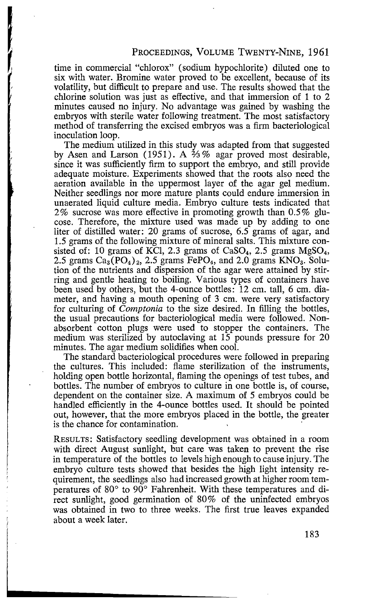time in commercial "chlorox" (sodium hypochlorite) diluted one to six with water. Bromine water proved to be excellent, because of its volatility, but difficult to prepare and use. The results showed that the chlorine solution was just as effective, and that immersion of 1 to 2 minutes caused no injury. No advantage was gained by washing the embryos with sterile water following treatment. The most satisfactory method of transferring the excised embryos was a firm bacteriological inoculation loop.

The medium utilized in this study was adapted from that suggested by Asen and Larson (1951). A  $\frac{2}{3}$ % agar proved most desirable, since it was sufficiently firm to support the embryo, and still provide adequate moisture. Experiments showed that the roots also need the aeration available in the uppermost layer of the agar gel medium. Neither seedlings nor more mature plants could endure immersion in unaerated liquid culture media. Embryo culture tests indicated that  $2\%$  sucrose was more effective in promoting growth than  $0.5\%$  glucose. Therefore, the mixture used was made up by adding to one liter of distilled water: 20 grams of sucrose, 6.5 grams of agar, and 1.5 grams of the following mixture of mineral salts. This mixture consisted of: 10 grams of KCl, 2.3 grams of CaSO<sub>4</sub>, 2.5 grams MgSO<sub>4</sub>, 2.5 grams  $Ca_3(PO_4)_2$ , 2.5 grams FePO<sub>4</sub>, and 2.0 grams  $KNO_3$ . Solution of the nutrients and dispersion of the agar were attained by stirring and gentle heating to boiling. Various types of containers have been used by others, but the 4-ounce bottles: 12 cm. tall, 6 cm. diameter, and having a mouth opening of 3 cm. were very satisfactory for culturing of *Comptonia* to the size desired. In filling the bottles, the usual precautions for bacteriological media were followed. Nonabsorbent cotton plugs were used to stopper the containers. The medium was sterilized by autoclaving at 15 pounds pressure for 20 minutes. The agar medium solidifies when cool.

The standard bacteriological procedures were followed in preparing the cultures. This included: flame sterilization of the instruments, holding open bottle horizontal, flaming the openings of test tubes, and bottles. The number of embryos to culture in one bottle is, of course, dependent on the container size. A maximum of 5 embryos could be handled efficiently in the 4-ounce bottles used. It should be pointed out, however, that the more embryos placed in the bottle, the greater is the chance for contamination.

RESULTS: Satisfactory seedling development was obtained in a room with direct August sunlight, but care was taken to prevent the rise in temperature of the bottles to levels high enough to cause injury. The embryo culture tests showed that besides the high light intensity requirement, the seedlings also had increased growth at higher room temperatures of 80° to 90° Fahrenheit. With these temperatures and direct sunlight, good germination of 80% of the uninfected embryos was obtained in two to three weeks. The first true leaves expanded about a week later.

183